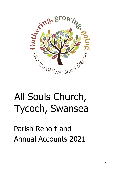

# All Souls Church, Tycoch, Swansea

Parish Report and Annual Accounts 2021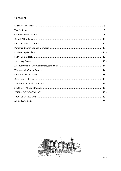# Contents

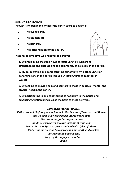#### <span id="page-2-0"></span>**MISSION STATEMENT**

**Through its worship and witness the parish seeks to advance:**

- **1. The evangelistic,**
- **2. The ecumenical,**
- **3. The pastoral,**
- **4. The social mission of the Church.**

**These respective aims we endeavor to achieve:**



**1. By proclaiming the good news of Jesus Christ by supporting, strengthening and encouraging the community of believers in the parish.**

**2. By co-operating and demonstrating our affinity with other Christian denominations in the parish through CYTUN (Churches Together in Wales).**

**3. By seeking to provide help and comfort to those in spiritual, mental and physical need in the parish.**

**4. By participating in and contributing to social life in the parish and advancing Christian principles as the basis of these activities.**

#### **DIOCESAN VISION PRAYER:**

<span id="page-2-1"></span>*Father, we hold before you our family in the Diocese of Swansea and Brecon and we open our hearts and minds to your Spirit: Bless us as we gather in your name; guide us as we grow into the likeness of your Son; lead us by your Spirit to go out and make disciples of others. God of our journeying, be our way and our truth and our life; our beginning and our end. We pray through Jesus our Lord. AMEN*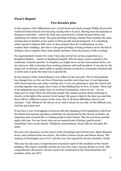# **Vicar's Report**

# **Two decades plus**

In the summer of the Millennium year, a fresh faced and much younger Phillip Gwynn first visited All Souls Church (*not knowing exactly where it was!*). Moving from the Eastside of Swansea (*remember - where the Wise men came from!*), to leafy Swansea West, was something of a culture shock. The great privilege of being a Parish Priest remains the same, coming close to families at key points in their growth and development. It is something rather special to Baptise little ones, to then prepare them for Confirmation, to later conduct their weddings, also there is the great privilege of being invited to sit by the bed of sickness, and to support those same family members when the journey of life is ending.

For approximately twenty-five years I have also served (*in various capacities*) as a Hospital Chaplain – mainly in Singleton Hospital. This has been a great contrast to the continuity of parish ministry. In hospital, you might never see the same patient twice, you are, however, able to develop close working relations with staff members. It can also be 'the sharp end' of ministry, often called to quickly become involved in a traumatic situation that is rarely seen in quite the same way in parish life.

So the purpose of this Annual Report, is to reflect on the year past. The Covid pandemic has changed how we live our lives. It has been another start/stop year. A year beginning with closed churches and online worship only. It was very pleasing to open the church and worship together once again, face to face, in the building that we love, at Easter. There had to be mitigations put in place, how we received Communion, where we sat – can we sing/can't we sing? There are still some people who remain anxious about returning to church, in the light of the current Covid variant. My guess is that by the time you read this, there will be a different variant on the scene. But in all these difficulties, there is one constant – God. Whatever life throws at us, God is always by our side. In this difficult year, God has been there too!

It has been a year of struggling to keep up with fast changing Covid regulations, both from the Welsh Government and these would then be interpreted by the Church-in-Wales. An important part of parish life, is visiting people in their homes. This has not been possible again, this year. For me, home visits are an essential part of being a parish priest, something I have sorely missed. Telephone conversations, Zoom calls are not quite the same.

We were very pleased to see the return of the Christingle and Crib Services, albeit slimmed down, and combined into one service. All credit to Simon Gwynn and Simon Davies. The making of Christingles was a D.I.Y. job this year, but enjoyed by all who attended, I think.

This year has also seen a comprehensive structural report of the condition of the church building. This report, normally carried out every five years, was put off due to Covid. This comprehensive document, will now need to be scrutinised by the Churchwardens and members of the new PCC.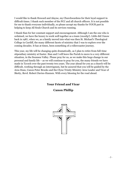I would like to thank Howard and Alayne, my Churchwardens for their loyal support in difficult times. I thank each member of the PCC and all church officers. It is not possible for me to thank everyone individually, so please accept my thanks for YOUR part in helping to keep All Souls Church and its services running.

I thank Sian for her constant support and encouragement. Although I am the one who is ordained, we have the luxury to work well together as a team (*mostly!*). Little did I know back in 1987, when we, as a family moved into what was then St. Michael's Theological College in Cardiff, the many different facets of ministry that I was to explore over the coming decades. It has at times, been something of a rollercoaster journey.

This year, my life will be changing quite dramatically, as I plan to retire from full-time stipendiary ministry at Easter. Sian and I will leave the Parish to move to a very different situation, in the Swansea Valley. Please pray for us, as we make this huge change in our personal and family life – as we will continue to pray for you, the many friends we have made in Tycoch over the past twenty two years. The year ahead for you as a church will be difficult, working through an interregnum, but be assured that you will be guided by the Area Dean, Canon Peter Brooks and the Clyne Trinity Ministry Area Leader and Vicar of Sketty, Revd. Robert Davies-Hannen. With every blessing for the road ahead.

## **Your Friend and Vicar**

# **Canon Phillip**

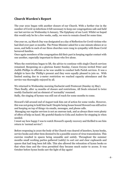# <span id="page-5-0"></span>**Church Warden's Report**

The year 2021 began with another closure of our Church. With a further rise in the number of Covid 19 infections it felt necessary to keep our congregations safe and held our last service on Wednesday 6 January, The Epiphany of our Lord. Whilst we hoped this would only be for a few weeks, sadly, we were to remain closed for some time.

One year on, 23 March Day was designated as a day of Reflection for Covid victims who had died over past 12 months. The Prime Minister asked for a one-minute silence at 12 noon, and bells in each of our three churches were rung in sympathy with those Covid bereaved families.

Once again members of the congregation did their part in keeping regular contact with one another, especially important to those who live alone.

When the restrictions began to lift, the advice to continue with single Church services remained. Reopening on a glorious Easter Sunday, Canon Gwynn invited Peter and Judith Phillips to officiate as he was unable to conduct both Parish services. It was a delight to have the 'Phillip's present and they were equally pleased to join us. With limited seating due to 2-meter restriction we reached capacity attendance and the service was thoroughly enjoyed by all.

We returned to Wednesday morning Eucharist until Pentecost (Sunday 23 May). Then finally, after 14 months of closure and restrictions, All Souls returned to twice weekly Eucharist and an element of 'normality' resumed.

Sadly, the singing of hymns was still out of reach for some months to come.

Howard's fall around end of August took him out of action for some weeks. However, this was not going to hold him back! Despite being house bound Howard was still active and keeping on top of things via emails, messages, and phone calls.

Managing our regular services is not an onerous task, and as always there were plenty of offers of help on hand. My grateful thanks to Celia and Andrew for stepping in when needed.

I must say how happy I was to watch Howard's speedy recovery and thrilled to see him return to 'normal service'!

Before reopening in 2020 the body of the Church was cleared of kneelers, hymn books, service books and other item deemed to be a possible source of virus transmission. This exercise resulted in spaces being unusable and untidy. Throughout the summer months small working parties gathered (safely) to sort out and clear cupboards and spaces that had long been left idle. This also allowed the relocation of hymn books so that when time and the virus permitted they became much easier to access. It was October before hymn books saw the light of day again!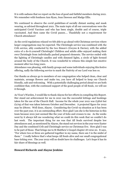It is with sadness that we report on the loss of good and faithful members during 2021. We remember with fondness Ann Ryan, Jean Dawson and Madge Ellis.

We continued to observe the covid guidelines of socially distant seating and mask wearing, as advised throughout 2021. The main topic of all our conversations were the anticipated Covid Vaccines and who has been single, double and of course, triple vaccinated. And then came the Covid passes…. Thankfully not a requirement for Church attendance!

As the covid regulations relaxed we felt able to go ahead with Christmas services where larger congregations may be expected. The Christingle service was combined with the Crib service, ably conducted by the two Simon's (Gwynn & Davies), with the added extra of a do-it-yourself Christingle! Children and adults alike enjoyed making their own Christingle from individually packed prepared elements. The service ended with the lighting of Christingle candles and with dimmed lights, a circle of light formed around the body of the Church. It was wonderful to witness this simple but emotive moment after two long years.

Attendance was pleasing, with family groups and some individuals enjoying this festive offering, sadly the following service to mark the Nativity of our Lord was less so.

Our thanks as always go to members of our congregation who helped clean, clear and maintain, arrange flowers and make tea, you have all helped to keep our Church friendly, safe and welcoming. With a potentially challenging period ahead we are both confident that, with the continued support of the good people of All Souls, we will see it through.

As Vicar's Warden, I would like to thank Alayne for her efforts in compiling this Report. Her stand out achievement for me in 2021 was the successful lettings and bookings taken for the use of the Church Hall. Income for the whole year 2021 was £3816 but £2795 of that was taken between October and December. A projected figure for 2022 may be £8000. Well done, Alayne. Considering the Covid-19 situation as it has been over the past year, it is an outstanding effort. How glad I am she is the historian in this team because 2021 just seemed like the year of ticks and crosses to me. As the weeks went by it always left me wondering what we could do this week that we couldn't do last week. The important thing for me was that All Souls survived despite low attendances and, as mentioned by Alayne, the stand out services in the year were Easter Day and the combined Crib and Christingle service on Christmas Eve. How glad I was to be part of those. That brings me to St Matthew's Gospel chapter 18 verse 20. It says, "For where two or three are gathered together in my name, there am I in the midst of them." I really believe that's what keeps All Souls alive and our small congregational base ticking over. The year 2022 will no doubt have its challenges. Let's hope it has its fair share of blessings as well.

#### **Howard Richards and Alayne Jenkins**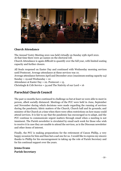<span id="page-7-0"></span>

### **Church Attendance**

The Annual Vestry Meeting 2021 was held virtually on Sunday 25th April 2021. At that time there were 40 names on the electoral roll.

Church Attendance is again difficult to quantify over the full year, with limited seating capacity and further closure.

All Souls reopened on Easter Day and continued with Wednesday morning services until Pentecost. Average attendance at these services was 10. Average attendance between April and December 2021 (maximum seating capacity 24) Sunday = 19 and Wednesday =  $10$ Attendance at Easter Day = 22. Pentecost = 15. Christingle & Crib Service =  $54$  and The Nativity of our Lord =  $16$ 

# <span id="page-7-1"></span>**Parochial Church Council**

The past 12 months have continued to challenge us but at least we were able to meet in person, albeit socially distanced. Meetings of the PCC were held in June, September and November during which decisions were made regarding the running of services during the pandemic; fabric matters of the Church, Church hall and its grounds; and ministry of the Church at a time when there were often restrictions on how many could attend services. It is fair to say that the pandemic has encouraged us to adapt, and the PCC continue to communicate urgent matters through email when a meeting is not imminent. The Parish newsletter is circulated by email each week for those who wish to receive it in case they are unable to attend the services, as is the Diocesan newsletter and other items of interest.

Finally, the PCC is making preparations for the retirement of Canon Phillip, a very happy occasion for him and Sian but a sad one for us. I would like to express my sincere thanks to Phillip for his encouragement in taking up the role of Parish Secretary and for his continual support over the years.

**Jenna Evans Parish Secretary**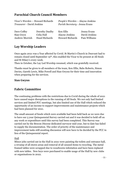# <span id="page-8-0"></span>**Parochial Church Council Members**

| Vicar's Warden - Howard Richards |                       | People's Warden – Alayne Jenkins |               |  |  |
|----------------------------------|-----------------------|----------------------------------|---------------|--|--|
| <i>Treasurer</i> - David Jenkins |                       | Parish Secretary - Jenna Evans   |               |  |  |
| Dave Coffey                      | Dorothy Daulby        | Ken Ellis                        | Jenna Evans   |  |  |
| Sian Gwyn                        | Celia Hall            | Alayne Jenkins                   | David Jenkins |  |  |
| <b>Andrew Morrish</b>            | <b>Hazel Richards</b> | <b>Howard Richards</b>           | Pam Williams  |  |  |

# <span id="page-8-1"></span>**Lay Worship Leaders**

Once again 2021 was a Year affected by Covid. St Martin's Church in Dunvant had to remain closed until September 19th, this enabled the Vicar to be present at All Souls and St Hilary's every week.

Then in October, the Lay Led Worship resumed, which was gratefully received.

Thanks must be given to all members of the team, Ken Ellis, Babs Roberts, Simon Davies, Gareth Lewis, Mike Powell and Sian Gwynn for their time and innovation when preparing for the services.

#### **Sian Gwynn**

# <span id="page-8-2"></span>**Fabric Committee**

The continuing problems with the restrictions due to Covid during the whole of 2021 have caused major disruptions in the running of All Souls. We not only had limited services and limited PCC meetings, but also limited use of the Hall which reduced the opportunity of an income to support improvements and maintenance projects which had been planned for 2021.

The small amount of funds which were available had been held back as we were due to have our 5 year Quinquennial Survey carried out and it was decided to hold off on any work or expenditure until this survey had been completed. This Survey was carried out by the Brecon Diocese dedicated surveyor mid-year, but to date has failed to supply the documentation. The order of priority of the maintenance and improvement tasks still awaiting discussion will now have to be decided by the PCC in lieu of the Quinquennial report.

#### Hall

Minor jobs carried out in the Hall in 2021 were painting the toilets and entrance hall, a revamp of all stores areas and removal of all unused items to recycling. The metal framed tables were scrapped due to woodworm infestation and have been replaced with new tables. New keys were purchased to enable usage of the Hall by new clubs or organisations in 2022.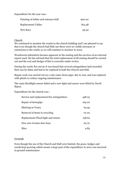Expenditure for the year was:-

| Painting of toilets and entrance hall | 900.00 |  |  |
|---------------------------------------|--------|--|--|
| <b>Replacement Tables</b>             | 815.48 |  |  |
| New Keys                              | 39.30  |  |  |

#### Church

We continued to monitor the cracks in the church building and I am pleased to say that even though the church had little use there were no visible increases or extensions to the cracks so we will continue to monitor in 2022.

Woodworm infestation became apparent in the seating and the services of an external expert used. He has advised that the total replacement of all seating should be carried out and the cost and design of this is currently under review.

During the yearly fire survey it was found that several extinguishers had exceeded their use by dates and had to be replaced in both the Church and Hall.

Repair work was carried out on a rain water down pipe, due to rust, and was replaced with plastic to reduce ongoing maintenance.

The main floodlight sensor failed and a new light and sensor were fitted by David Ripon.

Expenditure for the church was:-

| Service and replacement fire extinguishers | 458.23 |
|--------------------------------------------|--------|
| Repair of downpipe                         | 165.00 |
| <b>Shelving in Vestry</b>                  | 64.95  |
| Removal of items to recycling              | 70.00  |
| Replacement Flood light and sensor         | 158.62 |
| New sets of main door keys                 | 62.70  |
| Misc                                       | 9.85   |

#### Grounds

Even though the use of the Church and Hall were limited, the grass, hedges and weeds kept growing which meant a large part of the expenditure in 2021 was incurred in ground maintenance.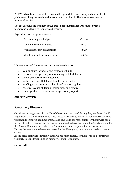Phil Wood continued to cut the grass and hedges while David Coffey did an excellent job in controlling the weeds and moss around the church. The lawnmower went for its annual service.

The area around the tree next to the garden of remembrance was covered with a membrane and bark to reduce weed growth.

Expenditure on the grounds was:-

| Grass cutting and hedges      | 1280.00 |
|-------------------------------|---------|
| Lawn mower maintenance        | 103.94  |
| Weed killer spray & chemicals | 89.69   |
| Membrane and Bark chippings   | 54.00   |

Maintenance and Improvements to be reviewed for 2022

- Leaking church windows and replacement sills.
- Excessive water pouring from retaining wall leak holes.
- Woodworm furniture replacement.
- Replace or renew Hall failed double glazing units.
- Levelling of paving around church and repairs to gulley.
- Investigate cause of damp in tower room and repair.
- Extend garden of remembrance as per faculty report.

#### **Andrew Morrish**

# <span id="page-10-0"></span>**Sanctuary Flowers**

Our flower arrangements in the Church have been restricted during the year due to Covid regulations . We have established a rota system - thanks to Hazel - which ensures only one person in the Church at a time. Pam, Hazel and Celia are responsible for the flowers for a fortnight each. In this way we have safely managed to have flowers in the Sanctuary and for the Book of Remembrance when the Church has been re-opened for Services again. During the year we purchased two vases for the Altar giving us a new way to decorate our Church.

As the price of flowers inevitably rises, we are most grateful to those who still contribute regularly to our Flower Fund in memory of their loved ones.

# **Celia Hall**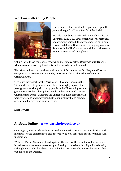# <span id="page-11-1"></span>**Working with Young People**



Unfortunately, there is little to report once again this year with regard to Young People of the Parish.

We held a combined Christingle and Crib Service on Christmas Eve, at All Souls which was well attended, and everyone enjoyed, the service was led by Simon Gwynn and Simon Davies which as they say was very 'Down with the Kids' and at the end they both received a spontaneous round of applause.

Callum Powell read the Gospel reading on the Sunday before Christmas at St Hilary's, which as usual was exceptional, it is such a joy to hear Callum read.

Eleri Gwynn, has taken on the unofficial role of Gel monitor at St Hilary's and I know everyone enjoys seeing her on Sunday morning as she reminds them of their own Grandchildren.

This is my last report for the Parishes of Killay and Tycoch as the Vicar and I move to pastures new, I have thoroughly enjoyed the past 45 years working with young people in the Diocese, it gives me great pleasure when I bump into people in the streets and they say, Oh remember when! I am sure the Church will move forward with new generations and new vision but we must allow this to happen even when it seems to be unusual to us.



#### **Sian Gwynn**

# <span id="page-11-0"></span>**All Souls Online – [www.parishoftycoch.co.uk](http://www.parishoftycoch.co.uk/)**

Once again, the parish website proved an effective way of communicating with members of the congregation and the wider public, searching for information and inspiration.

With our Parish Churches closed again at the start of the year the online news and broadcast services were a welcome sight. The digital newsletter is still published weekly although now only distributed via mailchimp to those who subscribe rather than published on the website.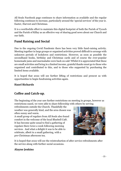All Souls Facebook page continues to share information as available and the regular following continues to increase, particularly around the 'special services' of the year ie. Easter, Harvest and Christmas.

It is a worthwhile effort to maintain this digital footprint of both the Parish of Tycoch and the Parish of Killay as an effective way of sharing good news about our Church and our faith.

# <span id="page-12-0"></span>**Fund Raising and Social**

Due to the ongoing Covid Pandemic there has been very little fund-raising activity. Meeting together in large groups or organised activities proved difficult to arrange with unknown periods of lockdown and restrictions. However, as soon as possible the secondhand books, birthday and Christmas cards and of course the ever-popular homemade jams and marmalades were back on sale! Whilst it is appreciated that these are small activities and bring in a limited income, grateful thanks must go to those who organised and contributed to this, and to those who supported by purchasing the limited items available.

It is hoped that 2022 will see further lifting of restrictions and present us with opportunities to begin fundraising activities again.

# <span id="page-12-1"></span>**Hazel Richards**

# **Coffee and Catch-up.**

The beginning of the year saw further restrictions on meeting in groups, however as restrictions eased, we were able to share fellowship with others by serving

refreshments outside the Church. Thankfully the weather was generally kind, and the area chosen was often sunny and warm.

A small group of regulars from All Souls also found comfort in the welcome of the local Bluebell Café. It has become quite usual to find a gathering of regulars there twice a week following morning services. And what a delight it was to be able to celebrate, albeit in a small gathering, with a pre-Christmas afternoon tea.



It is hoped that 2022 will see the reintroduction of after service refreshments after the service along with further social occasions.

# **Alayne Jenkins**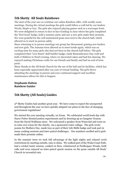# <span id="page-13-0"></span>**5th Sketty All Souls Rainbows**

The start of the year saw us continue our online Rainbow offer, with weekly zoom meetings. During the virtual meetings the girls could follow a craft led by our leaders Nicola, Steph or Izzy. The girls also enjoyed playing games such as a scavenger hunt. We were delighted to return to face to face Guiding in June where the girls completed the 'Feel Good' badge, held a summer party and saw 4 new girls make their promise. We were grateful for the well maintained grass area next to the church hall, which allowed us to meet in person safely.

Since returning to in person meetings our group has blossomed, gaining new leaders and new girls. The Autumn term allowed us to meet inside again, which was an exciting time for many girls who had not been in the church hall before. The girls completed their 'Live Smart' skill builder badge, made Remembrance Day craft and held a Children in Need evening, where we decorated cakes and had fun dancing. We enjoyed making Christmas crafts for our friends and family and had an end of term party.

Many thanks to the All Souls Church for the use of the hall and its facilities, which has been especially appreciated after our year of virtual Guiding. The girls thrive attending the meetings in person and your continued support and excellent maintenance allows for this to happen.

#### **Stephanie Dalton Rainbow Guider**

# <span id="page-13-1"></span>**5th Sketty (All Souls) Guides**

5<sup>th</sup> Sketty Guides had another great year. We have come to expect the unexpected and throughout the year we have quickly adapted our plans in the face of changing government regulations!

We started the year meeting virtually, on Zoom. We celebrated world book day with Harry Potter themed potion experiments and by dressing up as Gangster Granny from the David Walliams story. We welcomed a speaker from WaterAid and went on to raise over £240 for the charity, via a sponsored water collage. The girls wrote poems for Mothers Day, made toys as part of their Life Skills badge and took part in many cooking sessions and inter-patrol challenges. Our numbers swelled and 6 girls made their promise online.

In the summer term we took full advantage of the light nights and relaxed covid restrictions by meeting outside, rain or shine. We walked part of the Wales Coast Path, had a cricket taster session, cooked on fires, volunteered at Penllergaer Woods, built rafts and even enjoyed an inter-patrol sports session on the grass outside All Souls' Church in torrential rain.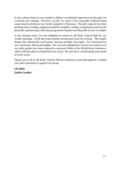It was a shame that we were unable to deliver a residential experience for the girls, for a second year running. However, in July, we spent a very enjoyable weekend doing camp-based activities at our Guide campsite in Penmaen. The girls enjoyed two days pitching tents, cooking, singing around the campfire, surfing, competing in patrols and generally experiencing a full camp programme despite not being able to stay overnight.

In the Autumn term, we were delighted to return to All Souls' Church Hall for our weekly meetings. It felt like home despite having been away for so long. The simple things, like 'playing the torch game', became possible once again. We welcomed two new volunteers, Siwan and Sophie. We were also delighted to receive news that two of our older guides have been selected to represent Wales at the World Scout Jamboree, which will take place in South Korea in 2023! We now have a fundraising task ahead of us for 2022!

Thank you to all at All Souls' Church Hall for keeping in touch throughout a volatile year and continuing to support our group.

## **Liz John Guide Leader**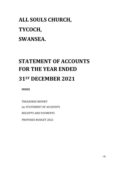# **ALL SOULS CHURCH, TYCOCH, SWANSEA.**

# <span id="page-15-0"></span>**STATEMENT OF ACCOUNTS FOR THE YEAR ENDED 31ST DECEMBER 2021**

**INDEX**

TREASURES REPORT inc STATEMENT OF ACCOUNTS RECEIPTS AND PAYMENTS PROPOSED BUDGET 2022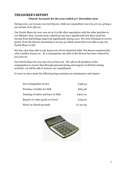# <span id="page-16-0"></span>**TREASURER'S REPORT**

#### **Church Accounts for the year ended 31st December 2021**

During 2021, our income was £26 855.00, while our expenditure was £25 472.00, giving a net income of £1 382.00.

Our Parish Share for 2021 was set at £13 681 after negotiation with the other parishes in our Ministry Area. Income from collections has been significantly less than usual but income from hall lettings improved significantly during 2021. We were fortunate to receive grants from the diocese amounting to £4 651.54 which meant that were able to pay our Parish Share in full.

We have also been able to pay £5000.00 off our historical debt. The diocese matched this with a further £5000.00. .As a consequence our debt to the diocese has been reduced by £10,000.00.

Our Parish Share for 2021 has not yet been set. We call on all members of the congregation to ensure that through personal giving and support of all fund-raising activities, we will be able to honour our commitment

In 2021 we have spent the following large amounts on maintenance and repairs.

| Fire extinguisher service             | £458.23   |
|---------------------------------------|-----------|
| Purchase of tables for Hall           | £815.48   |
| Painting of toilets and foyer in Hall | £900.00   |
| Repairs to water goods on Tower       | £165.00   |
| Work on Church grounds                | £1,527.63 |

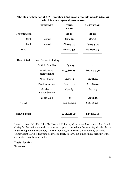|                     | <b>PURPOSE</b>             | <b>THIS</b><br><b>YEAR</b> | <b>LAST YEAR</b> |
|---------------------|----------------------------|----------------------------|------------------|
| <b>Unrestricted</b> |                            | 2021                       | 2020             |
| Cash                | General                    | £43.99                     | £5.35            |
| Bank                | General                    | £6675.39                   | £5 054.74        |
| Total               |                            | £6 719.38                  | £5 060.09        |
| <b>Restricted</b>   | Good Causes including      |                            |                  |
|                     | <b>Faith in Families</b>   | £52.15                     | $\mathbf{o}$     |
|                     | Mission and<br>Maintenance | £25,864.92                 | £25,864.92       |
|                     | <b>Altar Flowers</b>       | £675.14                    | £668.70          |
|                     | <b>Disabled Access</b>     | £1,287,19                  | £1,287.19        |
|                     | Garden of<br>Remembrance   | £47.65                     | £47.65           |
|                     | Youth Club                 | $\mathbf{o}$               | £335.46          |
| <b>Total</b>        |                            | £27 927.05                 | £28,285.21       |
| <b>Grand Total</b>  |                            | £34,646.43                 | £33 264.01       |

**The closing balance at 31st December 2021 on all accounts was £33,264.01 which is made up as shown below.**

I want to thank Mr. Ken Ellis, Mr. Howard Richards, Mr. Andrew Morrish and Mr. David Coffey for their wise counsel and constant support throughout the year. My thanks also go to the Independent Examiner, Mr. D. L. Jenkins, formerly of the University of Wales Trinity Saint David's. The time he gives so freely to carry out a meticulous scrutiny of the accounts is greatly appreciated.

**David Jenkins Treasurer**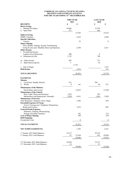#### **PARISH OF ALL SOULS, TYCOCH, SWANSEA RECEIPTS AND PAYMENTS ACCOUNT FOR THE YEAR ENDING 31ST DECEMBER 2021**

|                                                                                                  | <b>THIS YEAR</b> |              | <b>LAST YEAR</b> |                  |
|--------------------------------------------------------------------------------------------------|------------------|--------------|------------------|------------------|
| <b>RECEIPTS</b>                                                                                  | 2021<br>£        | £            | 2020<br>£        | £                |
| <b>Direct Giving</b>                                                                             |                  |              |                  |                  |
| <b>Planned Envelopes</b><br>1.                                                                   | 14,668           |              | 13,558           |                  |
| ii. Open Plate                                                                                   | 577              |              | 664              |                  |
| <b>Indirect Giving</b>                                                                           |                  | 15,245       |                  | 14,222           |
| <b>HMRC</b> Charities                                                                            |                  | 2,432        |                  | 4,698            |
| <b>Special Collections</b>                                                                       |                  |              |                  |                  |
| Various                                                                                          |                  | 52           |                  | $\boldsymbol{0}$ |
| <b>Money Raising</b>                                                                             |                  |              |                  |                  |
| Fetes, Raffles, Outings, Socials, Fund Raising<br>Group Events (incl. Monthly Draw) and Sponsors |                  | 2,594        |                  | 2,811            |
| <b>Other Income</b>                                                                              |                  |              |                  |                  |
| <b>Exceptional Income</b><br>i.                                                                  |                  |              |                  |                  |
| Legacies & In Memoriam                                                                           | 500              |              | $\mathbf{0}$     |                  |
| ii. Donations & Gifts                                                                            | 1,725            |              | 786              |                  |
| Other Income                                                                                     |                  |              |                  |                  |
| 111.<br>iv. Bank Interest (gross)                                                                | 487<br>3         |              | 727<br>24        |                  |
|                                                                                                  |                  | 2,716        |                  |                  |
| Sale of Organ<br>V                                                                               |                  |              |                  | 1,537            |
| <b>Hall Income</b>                                                                               |                  | 3,816        |                  | 471              |
|                                                                                                  |                  |              |                  |                  |
| <b>TOTAL RECEIPTS</b>                                                                            |                  | 26,855       |                  | 23,739           |
| <b>PAYMENTS</b>                                                                                  |                  |              |                  |                  |
| <b>Mission</b>                                                                                   |                  |              |                  |                  |
| Local (incl. Sunday School)<br>1.                                                                | 161              |              | 304              |                  |
| World<br>11.                                                                                     | $\boldsymbol{0}$ | 161          | 69               | 373              |
| <b>Maintenance of the Ministry</b>                                                               |                  |              |                  |                  |
| Parish Share and Locums                                                                          |                  | 14,825       |                  | 11,850           |
| <b>Maintenance of the Church</b>                                                                 |                  |              |                  |                  |
| Heat, Light, Water and Insurance                                                                 | 1,922            |              | 955              |                  |
| Maintenance and Repairs(incl. Grounds)<br><b>Maintenance of Services</b>                         | 2,509            | 4,431        | 1,865            | 2,820            |
| Altar Requisites, Organist, Choir, Organ                                                         |                  | 1,304        |                  | 883              |
| <b>Parochial Expenses of Clergy</b>                                                              |                  |              |                  |                  |
| Travel, Vicarage incl. Telephone (Proportion),                                                   |                  |              |                  |                  |
| Books and Courses.                                                                               |                  | 1,072        |                  | 994              |
| <b>General Parish Expenses</b>                                                                   |                  |              |                  |                  |
| Stationery, Printing, Photocopying,<br>Postage and Office Sundries.                              |                  | 242          |                  | 215              |
| <b>Cost of Money Raising</b>                                                                     |                  | 390          |                  | 359              |
| <b>Hall Outgoings</b>                                                                            |                  |              |                  |                  |
| <b>Exceptional Costs</b>                                                                         |                  | $\mathbf{0}$ |                  | $\boldsymbol{0}$ |
| <b>TOTAL PAYMENTS</b>                                                                            |                  | 25,472       |                  | 19,518           |
|                                                                                                  |                  |              |                  |                  |
| <b>NET SURPLUS/(DEFICIT)</b>                                                                     |                  | 1,382        |                  | 4,221            |
| 1 <sup>st</sup> January 2021 Bank Balances                                                       | 33,217           |              | 29,145           |                  |
| 1 <sup>st</sup> January 2021 Cash Balances                                                       | 47               | 33,264       | $-101$           | 29,044           |
|                                                                                                  |                  | 34,646       |                  | 33,265           |
|                                                                                                  |                  |              |                  |                  |
| 31 <sup>st</sup> December 2021 Bank Balances                                                     | 34,594           |              | 33,217           |                  |
| 31 <sup>st</sup> December 2021 Cash Balances                                                     | 52               | 34,646       | 47               | 33,264           |
|                                                                                                  |                  |              |                  |                  |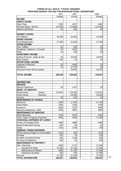#### **PARISH OF ALL SOULS', TYCOCH, SWANSEA PROPOSED BUDGET FOR 2022 FOR NON-EXCEPTIONAL EXPENDITURE**

|                                                                                     | 2021          | 2021               | 2022          |  |
|-------------------------------------------------------------------------------------|---------------|--------------------|---------------|--|
|                                                                                     | <b>Budget</b> | Actual             | <b>Budget</b> |  |
| <b>INCOME</b>                                                                       |               |                    |               |  |
| <b>DIRECT GIVING</b>                                                                |               |                    |               |  |
| Open Plate                                                                          | £700          | £577               | £600          |  |
| Planned Giving - Gift Aid                                                           | £13,500       | £14,668            | £14,000       |  |
| Special collections                                                                 | £0            | £52                | £0            |  |
|                                                                                     |               |                    |               |  |
| <b>INDIRECT GIVING</b>                                                              |               |                    |               |  |
| <b>Tax Refunds</b>                                                                  | £4,500        | £2,432             | £3,500        |  |
| <b>MONEY RAISING</b>                                                                |               |                    |               |  |
| Fund Raising (net)                                                                  | £1,500        | £2,204             | £1,500        |  |
| <b>OTHER INCOME</b>                                                                 |               |                    |               |  |
| Tea / Coffees                                                                       | £0            | £83                | £0            |  |
| Weddings / Baptisms / Funerals                                                      | £0            | £200               | £0            |  |
| Other                                                                               | £0            | £30                | £0            |  |
| <b>INVESTMENT INCOME</b>                                                            |               |                    |               |  |
| Letting of Church, Vestry & Hall                                                    | £0            | £3,816             | £8,000        |  |
| <b>Bank Interest</b>                                                                | £20           | £3                 | £4            |  |
| <b>EXCEPTIONAL INCOME</b>                                                           |               |                    |               |  |
| Legacies & Memoria                                                                  | £0            | £500               | £0            |  |
| Donations                                                                           | £0            | £1,725             | £0            |  |
| Diocesan Parish Share Support                                                       |               | £4,652             | £3,337        |  |
|                                                                                     |               |                    |               |  |
| <b>TOTAL INCOME</b>                                                                 | £20,220       | £30,942            | £30,941       |  |
|                                                                                     |               |                    |               |  |
|                                                                                     |               |                    |               |  |
| <b>EXPENDITURE</b>                                                                  |               |                    |               |  |
| <b>MISSION</b>                                                                      |               |                    |               |  |
| <b>Special Collections</b>                                                          | £0            | £161               | £0            |  |
| <b>MAINT. OF MINISTRY</b>                                                           |               |                    |               |  |
| Parish Share.<br>Current                                                            | £13,681       | £14,456            | £14,391       |  |
| $\overline{\phantom{a}}$<br>Parish Share.<br>Historical<br>$\overline{\phantom{a}}$ |               | £5,000             | £5,000        |  |
| Locums                                                                              | £0            | £20                | £0            |  |
| <b>MAINTENANCE OF CHURCH</b>                                                        |               |                    |               |  |
|                                                                                     | £350          |                    |               |  |
| Electricity                                                                         | £240          | £1,390             | £1,100        |  |
| <b>Water Rates</b>                                                                  | £400          | £162<br>£370       | £180<br>£400  |  |
| Insurance<br>General maintenance / H&S                                              | £500          | £981               | £900          |  |
| <b>MAINTENANCE OF SERVICES</b>                                                      |               |                    |               |  |
| <b>Altar Requisites</b>                                                             | £150          | £215               | £200          |  |
| Choir, Organ & Organist Expenses                                                    | £600          | £920               | £1,500        |  |
| PAROCHIAL EXPENSES OF CLERGY                                                        |               |                    |               |  |
| Portion of Vicarage Costs                                                           | £900          | £966               | £600          |  |
| Books/Publication/Training                                                          | £50           | £0                 | £0            |  |
| Travel                                                                              | £100          | $\overline{£}$ 106 | £50           |  |
| <b>GENERAL PARISH EXPENSES</b>                                                      |               |                    |               |  |
|                                                                                     |               |                    |               |  |
| Photo-copying charges & consumables                                                 | £100          | £52                | £100          |  |
| Postage                                                                             | £20           | £0                 | £20           |  |
| <b>Sundries including Printing</b>                                                  | £40           | £190               | £50           |  |
| Furniture & Equipment                                                               | £50           | £0                 | £50           |  |
| <b>MAINTENANCE OF PROPERTY</b>                                                      |               |                    |               |  |
| Hall - Electricity                                                                  | £200          | £117               | £1,000        |  |
| - Insurance & Water                                                                 | £1,200        | £1,106             | £1,200        |  |
| - Maintenance & Repairs                                                             | £500          | £1,755             | £1,500        |  |
| - Cleaning & Sundries                                                               | £20           | £70                | £1,200        |  |
| Grounds                                                                             | £1,500        | £1,528             | £1,500        |  |
| <b>TOTAL EXPENDITURE</b>                                                            | £20,601       | £29,565            | £30,941       |  |

<span id="page-19-0"></span>- 22 -